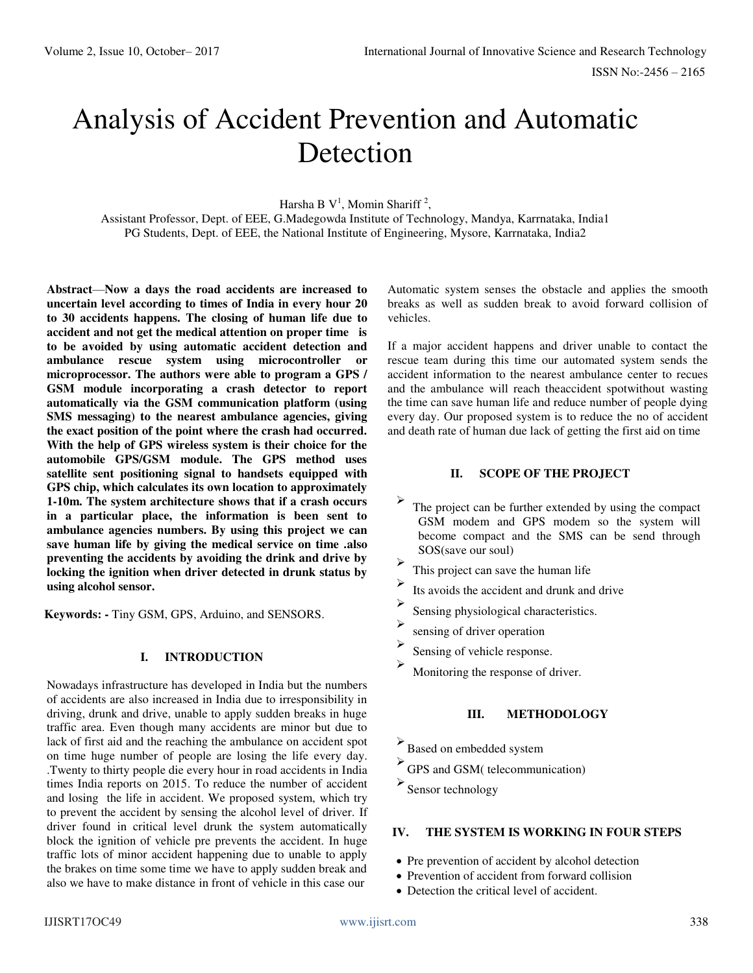# Analysis of Accident Prevention and Automatic Detection

Harsha B  $V^1$ , Momin Shariff<sup>2</sup>,

Assistant Professor, Dept. of EEE, G.Madegowda Institute of Technology, Mandya, Karrnataka, India1 PG Students, Dept. of EEE, the National Institute of Engineering, Mysore, Karrnataka, India2

**Abstract**—**Now a days the road accidents are increased to uncertain level according to times of India in every hour 20 to 30 accidents happens. The closing of human life due to accident and not get the medical attention on proper time is to be avoided by using automatic accident detection and ambulance rescue system using microcontroller or microprocessor. The authors were able to program a GPS / GSM module incorporating a crash detector to report automatically via the GSM communication platform (using SMS messaging) to the nearest ambulance agencies, giving the exact position of the point where the crash had occurred. With the help of GPS wireless system is their choice for the automobile GPS/GSM module. The GPS method uses satellite sent positioning signal to handsets equipped with GPS chip, which calculates its own location to approximately 1-10m. The system architecture shows that if a crash occurs in a particular place, the information is been sent to ambulance agencies numbers. By using this project we can save human life by giving the medical service on time .also preventing the accidents by avoiding the drink and drive by locking the ignition when driver detected in drunk status by using alcohol sensor.** 

**Keywords: -** Tiny GSM, GPS, Arduino, and SENSORS.

## **I. INTRODUCTION**

Nowadays infrastructure has developed in India but the numbers of accidents are also increased in India due to irresponsibility in driving, drunk and drive, unable to apply sudden breaks in huge traffic area. Even though many accidents are minor but due to lack of first aid and the reaching the ambulance on accident spot on time huge number of people are losing the life every day. .Twenty to thirty people die every hour in road accidents in India times India reports on 2015. To reduce the number of accident and losing the life in accident. We proposed system, which try to prevent the accident by sensing the alcohol level of driver. If driver found in critical level drunk the system automatically block the ignition of vehicle pre prevents the accident. In huge traffic lots of minor accident happening due to unable to apply the brakes on time some time we have to apply sudden break and also we have to make distance in front of vehicle in this case our

Automatic system senses the obstacle and applies the smooth breaks as well as sudden break to avoid forward collision of vehicles.

If a major accident happens and driver unable to contact the rescue team during this time our automated system sends the accident information to the nearest ambulance center to recues and the ambulance will reach theaccident spotwithout wasting the time can save human life and reduce number of people dying every day. Our proposed system is to reduce the no of accident and death rate of human due lack of getting the first aid on time

# **II. SCOPE OF THE PROJECT**

- $\blacktriangleright$ The project can be further extended by using the compact GSM modem and GPS modem so the system will become compact and the SMS can be send through SOS(save our soul)
- $\blacktriangleright$ This project can save the human life
- $\blacktriangleright$ Its avoids the accident and drunk and drive
- $\blacktriangleright$ Sensing physiological characteristics.
- $\blacktriangleright$ sensing of driver operation
- $\blacktriangleright$ Sensing of vehicle response.
- $\blacktriangleright$  Monitoring the response of driver.

# **III. METHODOLOGY**

- $\blacktriangleright$ Based on embedded system
- GPS and GSM( telecommunication)

 $\blacktriangleright$ Sensor technology

#### **IV. THE SYSTEM IS WORKING IN FOUR STEPS**

- Pre prevention of accident by alcohol detection
- Prevention of accident from forward collision
- Detection the critical level of accident.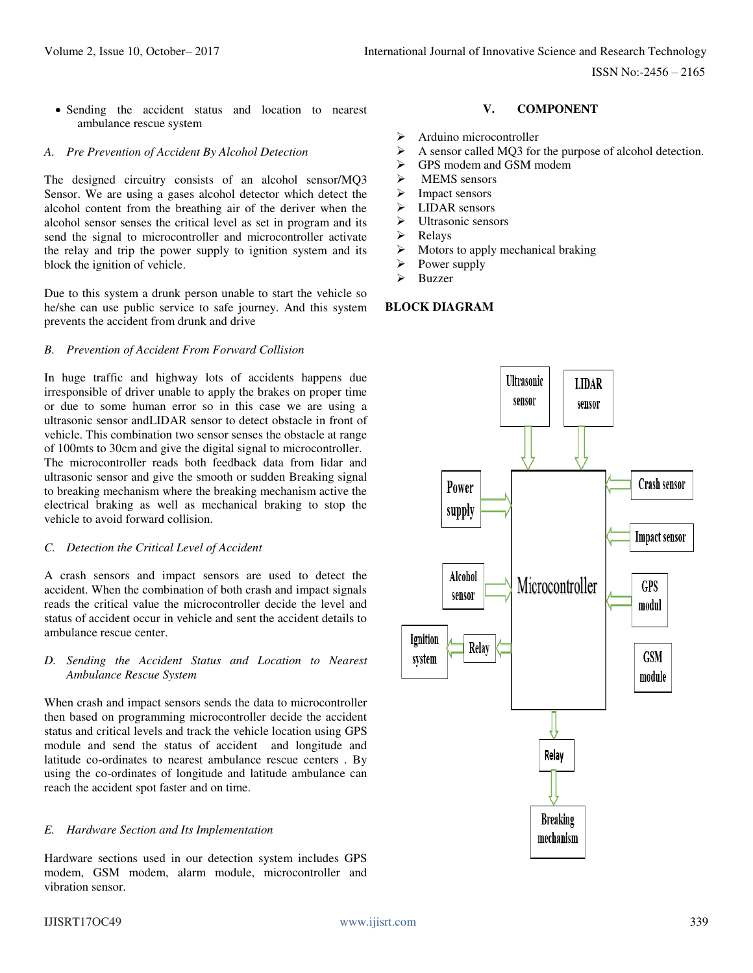ISSN No:-2456 – 2165

 Sending the accident status and location to nearest ambulance rescue system

#### *A. Pre Prevention of Accident By Alcohol Detection*

The designed circuitry consists of an alcohol sensor/MQ3 Sensor. We are using a gases alcohol detector which detect the alcohol content from the breathing air of the deriver when the alcohol sensor senses the critical level as set in program and its send the signal to microcontroller and microcontroller activate the relay and trip the power supply to ignition system and its block the ignition of vehicle.

Due to this system a drunk person unable to start the vehicle so he/she can use public service to safe journey. And this system prevents the accident from drunk and drive

#### *B. Prevention of Accident From Forward Collision*

In huge traffic and highway lots of accidents happens due irresponsible of driver unable to apply the brakes on proper time or due to some human error so in this case we are using a ultrasonic sensor andLIDAR sensor to detect obstacle in front of vehicle. This combination two sensor senses the obstacle at range of 100mts to 30cm and give the digital signal to microcontroller. The microcontroller reads both feedback data from lidar and ultrasonic sensor and give the smooth or sudden Breaking signal to breaking mechanism where the breaking mechanism active the electrical braking as well as mechanical braking to stop the vehicle to avoid forward collision.

#### *C. Detection the Critical Level of Accident*

A crash sensors and impact sensors are used to detect the accident. When the combination of both crash and impact signals reads the critical value the microcontroller decide the level and status of accident occur in vehicle and sent the accident details to ambulance rescue center.

#### *D. Sending the Accident Status and Location to Nearest Ambulance Rescue System*

When crash and impact sensors sends the data to microcontroller then based on programming microcontroller decide the accident status and critical levels and track the vehicle location using GPS module and send the status of accident and longitude and latitude co-ordinates to nearest ambulance rescue centers . By using the co-ordinates of longitude and latitude ambulance can reach the accident spot faster and on time.

#### *E. Hardware Section and Its Implementation*

Hardware sections used in our detection system includes GPS modem, GSM modem, alarm module, microcontroller and vibration sensor.

# **V. COMPONENT**

- $\triangleright$  Arduino microcontroller<br> $\triangleright$  A sensor called MO3 for
- A sensor called MQ3 for the purpose of alcohol detection.
- GPS modem and GSM modem
- $\triangleright$  MEMS sensors
- $\triangleright$  Impact sensors
- > LIDAR sensors
- $\triangleright$  Ultrasonic sensors<br> $\triangleright$  Relays
- Relays
- $\triangleright$  Motors to apply mechanical braking
- $\triangleright$  Power supply
- Buzzer

# **BLOCK DIAGRAM**